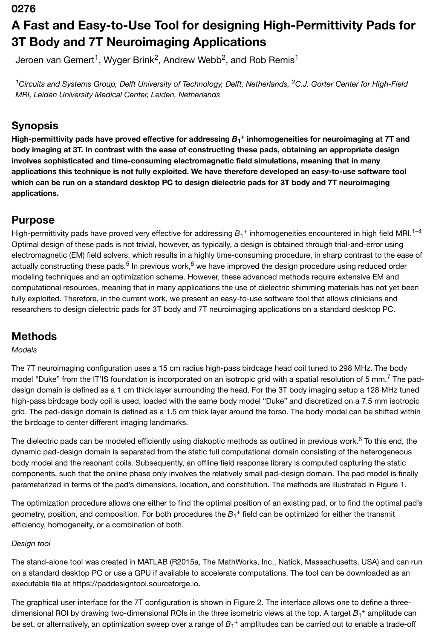#### **0276**

# **A Fast and Easy-to-Use Tool for designing High-Permittivity Pads for 3T Body and 7T Neuroimaging Applications**

Jeroen van Gemert<sup>1</sup>, Wyger Brink<sup>2</sup>, Andrew Webb<sup>2</sup>, and Rob Remis<sup>1</sup>

<sup>1</sup> Circuits and Systems Group, Delft University of Technology, Delft, Netherlands, <sup>2</sup>C.J. Gorter Center for High-Field *MRI, Leiden University Medical Center, Leiden, Netherlands*

## **Synopsis**

High-permittivity pads have proved effective for addressing  $B_1^+$  inhomogeneities for neuroimaging at 7T and **body imaging at 3T. In contrast with the ease of constructing these pads, obtaining an appropriate design involves sophisticated and time-consuming electromagnetic field simulations, meaning that in many applications this technique is not fully exploited. We have therefore developed an easy-to-use software tool which can be run on a standard desktop PC to design dielectric pads for 3T body and 7T neuroimaging applications.**

### **Purpose**

High-permittivity pads have proved very effective for addressing  $B_1^+$  inhomogeneities encountered in high field MRI.<sup>1–4</sup> Optimal design of these pads is not trivial, however, as typically, a design is obtained through trial-and-error using electromagnetic (EM) field solvers, which results in a highly time-consuming procedure, in sharp contrast to the ease of actually constructing these pads.<sup>5</sup> In previous work,<sup>6</sup> we have improved the design procedure using reduced order modeling techniques and an optimization scheme. However, these advanced methods require extensive EM and computational resources, meaning that in many applications the use of dielectric shimming materials has not yet been fully exploited. Therefore, in the current work, we present an easy-to-use software tool that allows clinicians and researchers to design dielectric pads for 3T body and 7T neuroimaging applications on a standard desktop PC.

# **Methods**

#### *Models*

The 7T neuroimaging configuration uses a 15 cm radius high-pass birdcage head coil tuned to 298 MHz. The body model "Duke" from the IT'IS foundation is incorporated on an isotropic grid with a spatial resolution of 5 mm.<sup>7</sup> The paddesign domain is defined as a 1 cm thick layer surrounding the head. For the 3T body imaging setup a 128 MHz tuned high-pass birdcage body coil is used, loaded with the same body model "Duke" and discretized on a 7.5 mm isotropic grid. The pad-design domain is defined as a 1.5 cm thick layer around the torso. The body model can be shifted within the birdcage to center different imaging landmarks.

The dielectric pads can be modeled efficiently using diakoptic methods as outlined in previous work.<sup>6</sup> To this end, the dynamic pad-design domain is separated from the static full computational domain consisting of the heterogeneous body model and the resonant coils. Subsequently, an offline field response library is computed capturing the static components, such that the online phase only involves the relatively small pad-design domain. The pad model is finally parameterized in terms of the pad's dimensions, location, and constitution. The methods are illustrated in Figure 1.

The optimization procedure allows one either to find the optimal position of an existing pad, or to find the optimal pad's geometry, position, and composition. For both procedures the  $B_1{}^+$  field can be optimized for either the transmit efficiency, homogeneity, or a combination of both.

#### *Design tool*

The stand-alone tool was created in MATLAB (R2015a, The MathWorks, Inc., Natick, Massachusetts, USA) and can run on a standard desktop PC or use a GPU if available to accelerate computations. The tool can be downloaded as an executable file at https://paddesigntool.sourceforge.io.

The graphical user interface for the 7T configuration is shown in Figure 2. The interface allows one to define a threedimensional ROI by drawing two-dimensional ROIs in the three isometric views at the top. A target  $B_1^+$  amplitude can be set, or alternatively, an optimization sweep over a range of  $B_1{}^+$  amplitudes can be carried out to enable a trade-off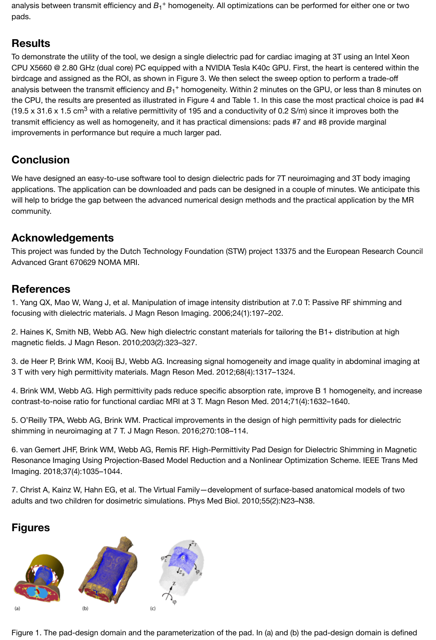### **Results**

To demonstrate the utility of the tool, we design a single dielectric pad for cardiac imaging at 3T using an Intel Xeon CPU X5660 @ 2.80 GHz (dual core) PC equipped with a NVIDIA Tesla K40c GPU. First, the heart is centered within the birdcage and assigned as the ROI, as shown in Figure 3. We then select the sweep option to perform a trade-off analysis between the transmit efficiency and  $B_1^+$  homogeneity. Within 2 minutes on the GPU, or less than 8 minutes on the CPU, the results are presented as illustrated in Figure 4 and Table 1. In this case the most practical choice is pad #4 (19.5 x 31.6 x 1.5 cm<sup>3</sup> with a relative permittivity of 195 and a conductivity of 0.2 S/m) since it improves both the transmit efficiency as well as homogeneity, and it has practical dimensions: pads #7 and #8 provide marginal improvements in performance but require a much larger pad.

# **Conclusion**

We have designed an easy-to-use software tool to design dielectric pads for 7T neuroimaging and 3T body imaging applications. The application can be downloaded and pads can be designed in a couple of minutes. We anticipate this will help to bridge the gap between the advanced numerical design methods and the practical application by the MR community.

# **Acknowledgements**

This project was funded by the Dutch Technology Foundation (STW) project 13375 and the European Research Council Advanced Grant 670629 NOMA MRI.

# **References**

1. Yang QX, Mao W, Wang J, et al. Manipulation of image intensity distribution at 7.0 T: Passive RF shimming and focusing with dielectric materials. J Magn Reson Imaging. 2006;24(1):197–202.

2. Haines K, Smith NB, Webb AG. New high dielectric constant materials for tailoring the B1+ distribution at high magnetic fields. J Magn Reson. 2010;203(2):323–327.

3. de Heer P, Brink WM, Kooij BJ, Webb AG. Increasing signal homogeneity and image quality in abdominal imaging at 3 T with very high permittivity materials. Magn Reson Med. 2012;68(4):1317–1324.

4. Brink WM, Webb AG. High permittivity pads reduce specific absorption rate, improve B 1 homogeneity, and increase contrast-to-noise ratio for functional cardiac MRI at 3 T. Magn Reson Med. 2014;71(4):1632–1640.

5. O'Reilly TPA, Webb AG, Brink WM. Practical improvements in the design of high permittivity pads for dielectric shimming in neuroimaging at 7 T. J Magn Reson. 2016;270:108–114.

6. van Gemert JHF, Brink WM, Webb AG, Remis RF. High-Permittivity Pad Design for Dielectric Shimming in Magnetic Resonance Imaging Using Projection-Based Model Reduction and a Nonlinear Optimization Scheme. IEEE Trans Med Imaging. 2018;37(4):1035–1044.

7. Christ A, Kainz W, Hahn EG, et al. The Virtual Family—development of surface-based anatomical models of two adults and two children for dosimetric simulations. Phys Med Biol. 2010;55(2):N23–N38.

# **Figures**



[Figure 1. The pad-design domain and the parameterizati](https://index.mirasmart.com/ISMRM2019/PDFfiles/images/1604/ISMRM2019-001604_Fig1.png)on of the pad. In (a) and (b) the pad-design domain is defined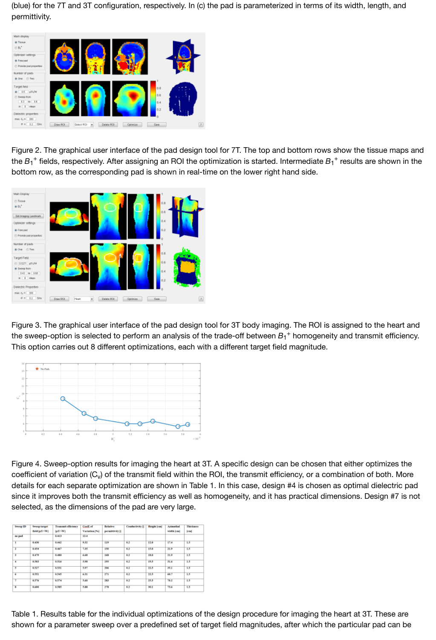

[Figure 2. The graphical user interface of the pad design t](https://index.mirasmart.com/ISMRM2019/PDFfiles/images/1604/ISMRM2019-001604_Fig2.png)ool for 7T. The top and bottom rows show the tissue maps and the  $B_1^+$  fields, respectively. After assigning an ROI the optimization is started. Intermediate  $B_1^+$  results are shown in the bottom row, as the corresponding pad is shown in real-time on the lower right hand side.



[Figure 3. The graphical user interface of the pad design t](https://index.mirasmart.com/ISMRM2019/PDFfiles/images/1604/ISMRM2019-001604_Fig3.png)ool for 3T body imaging. The ROI is assigned to the heart and the sweep-option is selected to perform an analysis of the trade-off between  $B_1{}^+$  homogeneity and transmit efficiency. This option carries out 8 different optimizations, each with a different target field magnitude.



[Figure 4. Sweep-option results for imaging the heart at 3](https://index.mirasmart.com/ISMRM2019/PDFfiles/images/1604/ISMRM2019-001604_Fig4.png)T. A specific design can be chosen that either optimizes the coefficient of variation (C<sub>v</sub>) of the transmit field within the ROI, the transmit efficiency, or a combination of both. More details for each separate optimization are shown in Table 1. In this case, design #4 is chosen as optimal dielectric pad since it improves both the transmit efficiency as well as homogeneity, and it has practical dimensions. Design #7 is not selected, as the dimensions of the pad are very large.

| Sweep ID<br>no pad | Sweep target<br>field in ThiW1 | <b>Transmit efficiency</b><br>[uT/N]<br>0.413 | Coeff.of<br>Variation [76]<br>13.4 | <b>Relative</b><br>permittivity [] | <b>Conductivity</b> <sup>[]</sup> | Height [cm] | <b>Azimuthal</b><br>width [cm] | <b>Thickness</b><br>$\left[\text{cm}\right]$ |              |       |       |      |     |     |      |      |     |
|--------------------|--------------------------------|-----------------------------------------------|------------------------------------|------------------------------------|-----------------------------------|-------------|--------------------------------|----------------------------------------------|--------------|-------|-------|------|-----|-----|------|------|-----|
|                    |                                |                                               |                                    |                                    |                                   |             |                                |                                              | $\mathbf{I}$ | 0.430 | 0.442 | 9.82 | 119 | 0.2 | 12.0 | 17.4 | 1.5 |
|                    |                                |                                               |                                    |                                    |                                   |             |                                |                                              | Ŧ            | 0.454 | 0.467 | 7.85 | 150 | 0.2 | 15.0 | 21.9 | 1.5 |
| т                  | 0.479                          | 0.480                                         | 6.68                               | 168                                | 0.2                               | 18.0        | 21.9                           | 1.5                                          |              |       |       |      |     |     |      |      |     |
| $\overline{4}$     | 0.503                          | 0.516                                         | 5.98                               | 195                                | 0.2                               | 19.5        | 31.6                           | 1.5                                          |              |       |       |      |     |     |      |      |     |
| s                  | 8.527                          | 0.531                                         | 5.97                               | 206                                | 0.2                               | 11.5        | 35.1                           | 1.5                                          |              |       |       |      |     |     |      |      |     |
| ×                  | 0.551                          | 0.545                                         | 6.31                               | 271                                | 0.2                               | 11.5        | 60.7                           | 1.5                                          |              |       |       |      |     |     |      |      |     |
| ۳                  | 0.576                          | 0.574                                         | 5.60                               | 183                                | 0.2                               | 15.5        | 16.2                           | 1.5                                          |              |       |       |      |     |     |      |      |     |
| 8                  | 0.600                          | 0.585                                         | 5.88                               | 278                                | 0.2                               | 30.1        | 73.6                           | 1.5                                          |              |       |       |      |     |     |      |      |     |

[Table 1. Results table for the individual optimizations of t](https://index.mirasmart.com/ISMRM2019/PDFfiles/images/1604/ISMRM2019-001604_Fig5.png)he design procedure for imaging the heart at 3T. These are shown for a parameter sweep over a predefined set of target field magnitudes, after which the particular pad can be